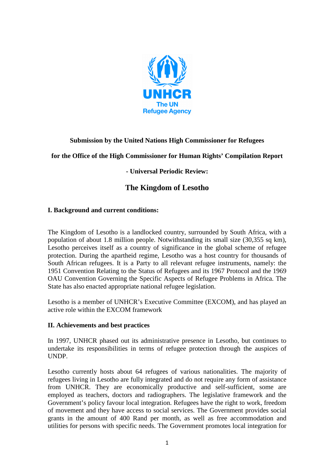

# **Submission by the United Nations High Commissioner for Refugees**

#### **for the Office of the High Commissioner for Human Rights' Compilation Report**

# **- Universal Periodic Review:**

# **The Kingdom of Lesotho**

#### **I. Background and current conditions:**

The Kingdom of Lesotho is a landlocked country, surrounded by South Africa, with a population of about 1.8 million people. Notwithstanding its small size (30,355 sq km), Lesotho perceives itself as a country of significance in the global scheme of refugee protection. During the apartheid regime, Lesotho was a host country for thousands of South African refugees. It is a Party to all relevant refugee instruments, namely: the 1951 Convention Relating to the Status of Refugees and its 1967 Protocol and the 1969 OAU Convention Governing the Specific Aspects of Refugee Problems in Africa. The State has also enacted appropriate national refugee legislation.

Lesotho is a member of UNHCR's Executive Committee (EXCOM), and has played an active role within the EXCOM framework

#### **II. Achievements and best practices**

In 1997, UNHCR phased out its administrative presence in Lesotho, but continues to undertake its responsibilities in terms of refugee protection through the auspices of UNDP.

Lesotho currently hosts about 64 refugees of various nationalities. The majority of refugees living in Lesotho are fully integrated and do not require any form of assistance from UNHCR. They are economically productive and self-sufficient, some are employed as teachers, doctors and radiographers. The legislative framework and the Government's policy favour local integration. Refugees have the right to work, freedom of movement and they have access to social services. The Government provides social grants in the amount of 400 Rand per month, as well as free accommodation and utilities for persons with specific needs. The Government promotes local integration for